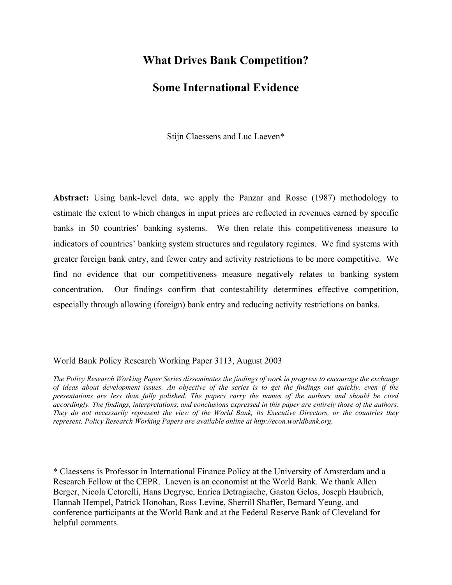# **What Drives Bank Competition?**

# **Some International Evidence**

Stijn Claessens and Luc Laeven\*

**Abstract:** Using bank-level data, we apply the Panzar and Rosse (1987) methodology to estimate the extent to which changes in input prices are reflected in revenues earned by specific banks in 50 countries' banking systems. We then relate this competitiveness measure to indicators of countries' banking system structures and regulatory regimes. We find systems with greater foreign bank entry, and fewer entry and activity restrictions to be more competitive. We find no evidence that our competitiveness measure negatively relates to banking system concentration. Our findings confirm that contestability determines effective competition, especially through allowing (foreign) bank entry and reducing activity restrictions on banks.

# World Bank Policy Research Working Paper 3113, August 2003

*The Policy Research Working Paper Series disseminates the findings of work in progress to encourage the exchange of ideas about development issues. An objective of the series is to get the findings out quickly, even if the presentations are less than fully polished. The papers carry the names of the authors and should be cited accordingly. The findings, interpretations, and conclusions expressed in this paper are entirely those of the authors. They do not necessarily represent the view of the World Bank, its Executive Directors, or the countries they represent. Policy Research Working Papers are available online at http://econ.worldbank.org.* 

\* Claessens is Professor in International Finance Policy at the University of Amsterdam and a Research Fellow at the CEPR. Laeven is an economist at the World Bank. We thank Allen Berger, Nicola Cetorelli, Hans Degryse, Enrica Detragiache, Gaston Gelos, Joseph Haubrich, Hannah Hempel, Patrick Honohan, Ross Levine, Sherrill Shaffer, Bernard Yeung, and conference participants at the World Bank and at the Federal Reserve Bank of Cleveland for helpful comments.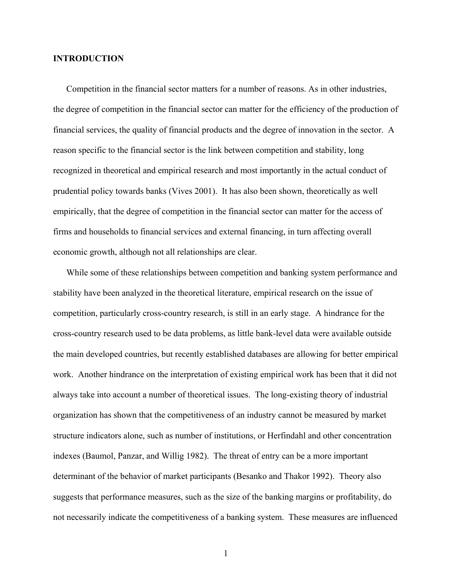# **INTRODUCTION**

Competition in the financial sector matters for a number of reasons. As in other industries, the degree of competition in the financial sector can matter for the efficiency of the production of financial services, the quality of financial products and the degree of innovation in the sector. A reason specific to the financial sector is the link between competition and stability, long recognized in theoretical and empirical research and most importantly in the actual conduct of prudential policy towards banks (Vives 2001). It has also been shown, theoretically as well empirically, that the degree of competition in the financial sector can matter for the access of firms and households to financial services and external financing, in turn affecting overall economic growth, although not all relationships are clear.

While some of these relationships between competition and banking system performance and stability have been analyzed in the theoretical literature, empirical research on the issue of competition, particularly cross-country research, is still in an early stage. A hindrance for the cross-country research used to be data problems, as little bank-level data were available outside the main developed countries, but recently established databases are allowing for better empirical work. Another hindrance on the interpretation of existing empirical work has been that it did not always take into account a number of theoretical issues. The long-existing theory of industrial organization has shown that the competitiveness of an industry cannot be measured by market structure indicators alone, such as number of institutions, or Herfindahl and other concentration indexes (Baumol, Panzar, and Willig 1982). The threat of entry can be a more important determinant of the behavior of market participants (Besanko and Thakor 1992). Theory also suggests that performance measures, such as the size of the banking margins or profitability, do not necessarily indicate the competitiveness of a banking system. These measures are influenced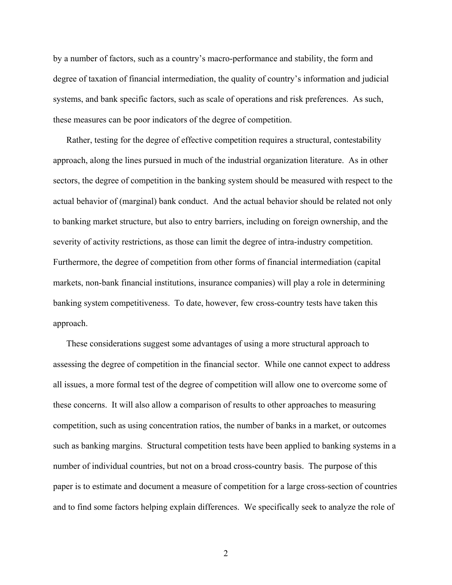by a number of factors, such as a country's macro-performance and stability, the form and degree of taxation of financial intermediation, the quality of country's information and judicial systems, and bank specific factors, such as scale of operations and risk preferences. As such, these measures can be poor indicators of the degree of competition.

Rather, testing for the degree of effective competition requires a structural, contestability approach, along the lines pursued in much of the industrial organization literature. As in other sectors, the degree of competition in the banking system should be measured with respect to the actual behavior of (marginal) bank conduct. And the actual behavior should be related not only to banking market structure, but also to entry barriers, including on foreign ownership, and the severity of activity restrictions, as those can limit the degree of intra-industry competition. Furthermore, the degree of competition from other forms of financial intermediation (capital markets, non-bank financial institutions, insurance companies) will play a role in determining banking system competitiveness. To date, however, few cross-country tests have taken this approach.

These considerations suggest some advantages of using a more structural approach to assessing the degree of competition in the financial sector. While one cannot expect to address all issues, a more formal test of the degree of competition will allow one to overcome some of these concerns. It will also allow a comparison of results to other approaches to measuring competition, such as using concentration ratios, the number of banks in a market, or outcomes such as banking margins. Structural competition tests have been applied to banking systems in a number of individual countries, but not on a broad cross-country basis. The purpose of this paper is to estimate and document a measure of competition for a large cross-section of countries and to find some factors helping explain differences. We specifically seek to analyze the role of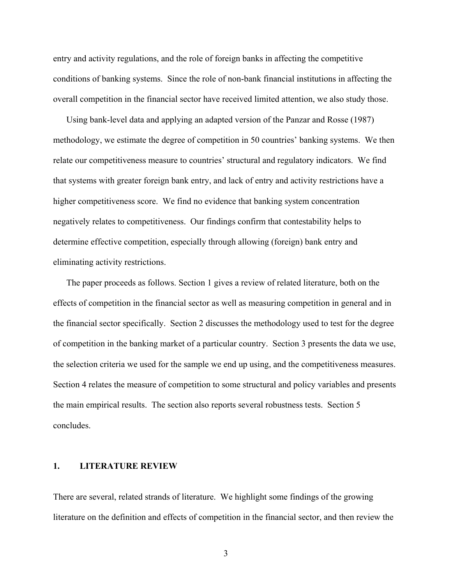entry and activity regulations, and the role of foreign banks in affecting the competitive conditions of banking systems. Since the role of non-bank financial institutions in affecting the overall competition in the financial sector have received limited attention, we also study those.

Using bank-level data and applying an adapted version of the Panzar and Rosse (1987) methodology, we estimate the degree of competition in 50 countries' banking systems. We then relate our competitiveness measure to countries' structural and regulatory indicators. We find that systems with greater foreign bank entry, and lack of entry and activity restrictions have a higher competitiveness score. We find no evidence that banking system concentration negatively relates to competitiveness. Our findings confirm that contestability helps to determine effective competition, especially through allowing (foreign) bank entry and eliminating activity restrictions.

The paper proceeds as follows. Section 1 gives a review of related literature, both on the effects of competition in the financial sector as well as measuring competition in general and in the financial sector specifically. Section 2 discusses the methodology used to test for the degree of competition in the banking market of a particular country. Section 3 presents the data we use, the selection criteria we used for the sample we end up using, and the competitiveness measures. Section 4 relates the measure of competition to some structural and policy variables and presents the main empirical results. The section also reports several robustness tests. Section 5 concludes.

#### **1. LITERATURE REVIEW**

There are several, related strands of literature. We highlight some findings of the growing literature on the definition and effects of competition in the financial sector, and then review the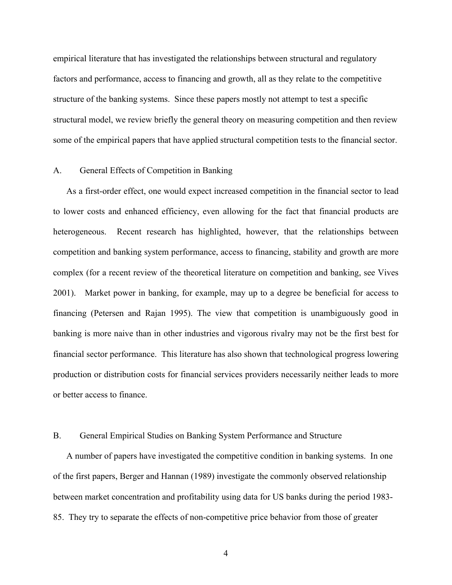empirical literature that has investigated the relationships between structural and regulatory factors and performance, access to financing and growth, all as they relate to the competitive structure of the banking systems. Since these papers mostly not attempt to test a specific structural model, we review briefly the general theory on measuring competition and then review some of the empirical papers that have applied structural competition tests to the financial sector.

### A. General Effects of Competition in Banking

As a first-order effect, one would expect increased competition in the financial sector to lead to lower costs and enhanced efficiency, even allowing for the fact that financial products are heterogeneous. Recent research has highlighted, however, that the relationships between competition and banking system performance, access to financing, stability and growth are more complex (for a recent review of the theoretical literature on competition and banking, see Vives 2001). Market power in banking, for example, may up to a degree be beneficial for access to financing (Petersen and Rajan 1995). The view that competition is unambiguously good in banking is more naive than in other industries and vigorous rivalry may not be the first best for financial sector performance. This literature has also shown that technological progress lowering production or distribution costs for financial services providers necessarily neither leads to more or better access to finance.

# B. General Empirical Studies on Banking System Performance and Structure

A number of papers have investigated the competitive condition in banking systems. In one of the first papers, Berger and Hannan (1989) investigate the commonly observed relationship between market concentration and profitability using data for US banks during the period 1983- 85. They try to separate the effects of non-competitive price behavior from those of greater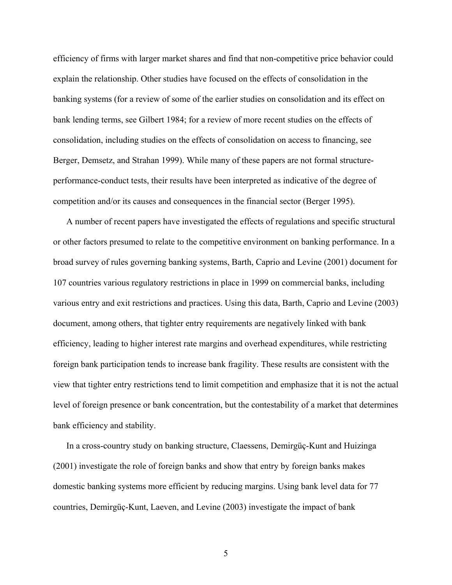efficiency of firms with larger market shares and find that non-competitive price behavior could explain the relationship. Other studies have focused on the effects of consolidation in the banking systems (for a review of some of the earlier studies on consolidation and its effect on bank lending terms, see Gilbert 1984; for a review of more recent studies on the effects of consolidation, including studies on the effects of consolidation on access to financing, see Berger, Demsetz, and Strahan 1999). While many of these papers are not formal structureperformance-conduct tests, their results have been interpreted as indicative of the degree of competition and/or its causes and consequences in the financial sector (Berger 1995).

A number of recent papers have investigated the effects of regulations and specific structural or other factors presumed to relate to the competitive environment on banking performance. In a broad survey of rules governing banking systems, Barth, Caprio and Levine (2001) document for 107 countries various regulatory restrictions in place in 1999 on commercial banks, including various entry and exit restrictions and practices. Using this data, Barth, Caprio and Levine (2003) document, among others, that tighter entry requirements are negatively linked with bank efficiency, leading to higher interest rate margins and overhead expenditures, while restricting foreign bank participation tends to increase bank fragility. These results are consistent with the view that tighter entry restrictions tend to limit competition and emphasize that it is not the actual level of foreign presence or bank concentration, but the contestability of a market that determines bank efficiency and stability.

In a cross-country study on banking structure, Claessens, Demirgüç-Kunt and Huizinga (2001) investigate the role of foreign banks and show that entry by foreign banks makes domestic banking systems more efficient by reducing margins. Using bank level data for 77 countries, Demirgüç-Kunt, Laeven, and Levine (2003) investigate the impact of bank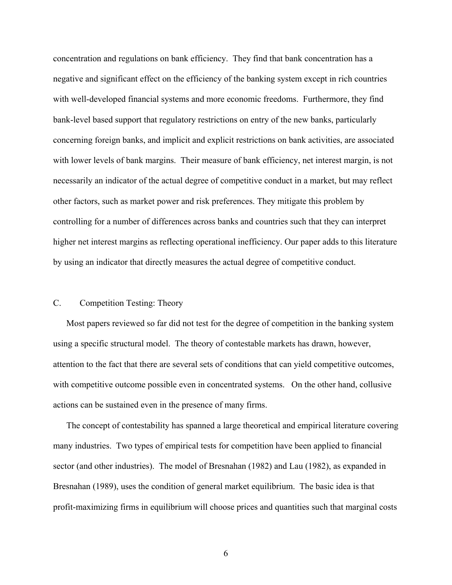concentration and regulations on bank efficiency. They find that bank concentration has a negative and significant effect on the efficiency of the banking system except in rich countries with well-developed financial systems and more economic freedoms. Furthermore, they find bank-level based support that regulatory restrictions on entry of the new banks, particularly concerning foreign banks, and implicit and explicit restrictions on bank activities, are associated with lower levels of bank margins. Their measure of bank efficiency, net interest margin, is not necessarily an indicator of the actual degree of competitive conduct in a market, but may reflect other factors, such as market power and risk preferences. They mitigate this problem by controlling for a number of differences across banks and countries such that they can interpret higher net interest margins as reflecting operational inefficiency. Our paper adds to this literature by using an indicator that directly measures the actual degree of competitive conduct.

# C. Competition Testing: Theory

Most papers reviewed so far did not test for the degree of competition in the banking system using a specific structural model. The theory of contestable markets has drawn, however, attention to the fact that there are several sets of conditions that can yield competitive outcomes, with competitive outcome possible even in concentrated systems. On the other hand, collusive actions can be sustained even in the presence of many firms.

The concept of contestability has spanned a large theoretical and empirical literature covering many industries. Two types of empirical tests for competition have been applied to financial sector (and other industries). The model of Bresnahan (1982) and Lau (1982), as expanded in Bresnahan (1989), uses the condition of general market equilibrium. The basic idea is that profit-maximizing firms in equilibrium will choose prices and quantities such that marginal costs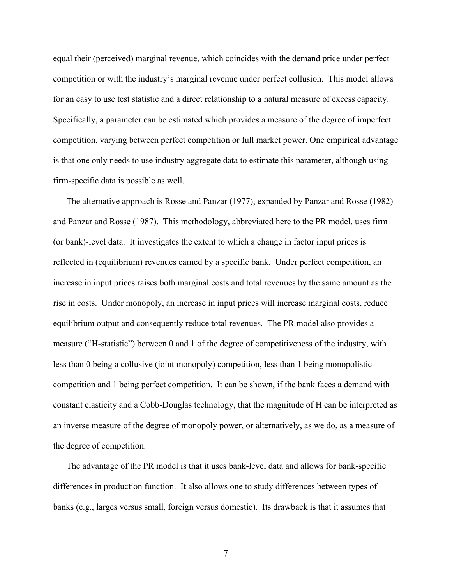equal their (perceived) marginal revenue, which coincides with the demand price under perfect competition or with the industry's marginal revenue under perfect collusion. This model allows for an easy to use test statistic and a direct relationship to a natural measure of excess capacity. Specifically, a parameter can be estimated which provides a measure of the degree of imperfect competition, varying between perfect competition or full market power. One empirical advantage is that one only needs to use industry aggregate data to estimate this parameter, although using firm-specific data is possible as well.

The alternative approach is Rosse and Panzar (1977), expanded by Panzar and Rosse (1982) and Panzar and Rosse (1987). This methodology, abbreviated here to the PR model, uses firm (or bank)-level data. It investigates the extent to which a change in factor input prices is reflected in (equilibrium) revenues earned by a specific bank. Under perfect competition, an increase in input prices raises both marginal costs and total revenues by the same amount as the rise in costs. Under monopoly, an increase in input prices will increase marginal costs, reduce equilibrium output and consequently reduce total revenues. The PR model also provides a measure ("H-statistic") between 0 and 1 of the degree of competitiveness of the industry, with less than 0 being a collusive (joint monopoly) competition, less than 1 being monopolistic competition and 1 being perfect competition. It can be shown, if the bank faces a demand with constant elasticity and a Cobb-Douglas technology, that the magnitude of H can be interpreted as an inverse measure of the degree of monopoly power, or alternatively, as we do, as a measure of the degree of competition.

The advantage of the PR model is that it uses bank-level data and allows for bank-specific differences in production function. It also allows one to study differences between types of banks (e.g., larges versus small, foreign versus domestic). Its drawback is that it assumes that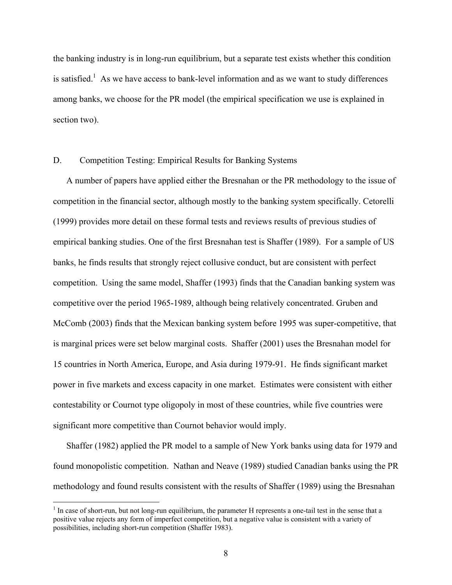the banking industry is in long-run equilibrium, but a separate test exists whether this condition is satisfied.<sup>1</sup> As we have access to bank-level information and as we want to study differences among banks, we choose for the PR model (the empirical specification we use is explained in section two).

#### D. Competition Testing: Empirical Results for Banking Systems

A number of papers have applied either the Bresnahan or the PR methodology to the issue of competition in the financial sector, although mostly to the banking system specifically. Cetorelli (1999) provides more detail on these formal tests and reviews results of previous studies of empirical banking studies. One of the first Bresnahan test is Shaffer (1989). For a sample of US banks, he finds results that strongly reject collusive conduct, but are consistent with perfect competition. Using the same model, Shaffer (1993) finds that the Canadian banking system was competitive over the period 1965-1989, although being relatively concentrated. Gruben and McComb (2003) finds that the Mexican banking system before 1995 was super-competitive, that is marginal prices were set below marginal costs. Shaffer (2001) uses the Bresnahan model for 15 countries in North America, Europe, and Asia during 1979-91. He finds significant market power in five markets and excess capacity in one market. Estimates were consistent with either contestability or Cournot type oligopoly in most of these countries, while five countries were significant more competitive than Cournot behavior would imply.

Shaffer (1982) applied the PR model to a sample of New York banks using data for 1979 and found monopolistic competition. Nathan and Neave (1989) studied Canadian banks using the PR methodology and found results consistent with the results of Shaffer (1989) using the Bresnahan

 $<sup>1</sup>$  In case of short-run, but not long-run equilibrium, the parameter H represents a one-tail test in the sense that a</sup> positive value rejects any form of imperfect competition, but a negative value is consistent with a variety of possibilities, including short-run competition (Shaffer 1983).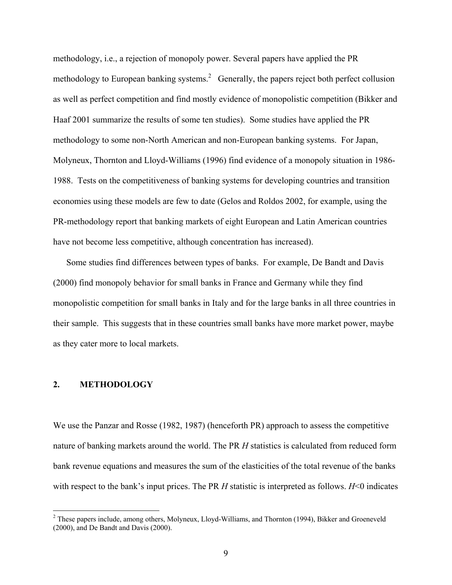methodology, i.e., a rejection of monopoly power. Several papers have applied the PR methodology to European banking systems.<sup>2</sup> Generally, the papers reject both perfect collusion as well as perfect competition and find mostly evidence of monopolistic competition (Bikker and Haaf 2001 summarize the results of some ten studies). Some studies have applied the PR methodology to some non-North American and non-European banking systems. For Japan, Molyneux, Thornton and Lloyd-Williams (1996) find evidence of a monopoly situation in 1986- 1988. Tests on the competitiveness of banking systems for developing countries and transition economies using these models are few to date (Gelos and Roldos 2002, for example, using the PR-methodology report that banking markets of eight European and Latin American countries have not become less competitive, although concentration has increased).

Some studies find differences between types of banks. For example, De Bandt and Davis (2000) find monopoly behavior for small banks in France and Germany while they find monopolistic competition for small banks in Italy and for the large banks in all three countries in their sample. This suggests that in these countries small banks have more market power, maybe as they cater more to local markets.

#### **2. METHODOLOGY**

1

We use the Panzar and Rosse (1982, 1987) (henceforth PR) approach to assess the competitive nature of banking markets around the world. The PR *H* statistics is calculated from reduced form bank revenue equations and measures the sum of the elasticities of the total revenue of the banks with respect to the bank's input prices. The PR *H* statistic is interpreted as follows. *H*<0 indicates

 $2$  These papers include, among others, Molyneux, Lloyd-Williams, and Thornton (1994), Bikker and Groeneveld (2000), and De Bandt and Davis (2000).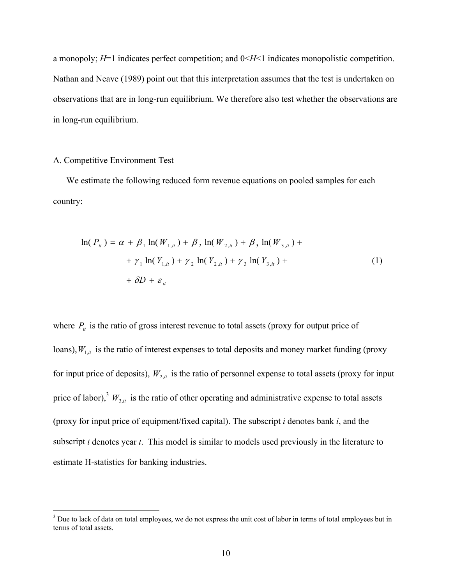a monopoly; *H*=1 indicates perfect competition; and 0<*H*<1 indicates monopolistic competition. Nathan and Neave (1989) point out that this interpretation assumes that the test is undertaken on observations that are in long-run equilibrium. We therefore also test whether the observations are in long-run equilibrium.

#### A. Competitive Environment Test

We estimate the following reduced form revenue equations on pooled samples for each country:

$$
\ln(P_{ii}) = \alpha + \beta_1 \ln(W_{1,ii}) + \beta_2 \ln(W_{2,ii}) + \beta_3 \ln(W_{3,ii}) +
$$
  
+  $\gamma_1 \ln(Y_{1,ii}) + \gamma_2 \ln(Y_{2,ii}) + \gamma_3 \ln(Y_{3,ii}) +$   
+  $\delta D + \varepsilon_{ii}$  (1)

where  $P_{it}$  is the ratio of gross interest revenue to total assets (proxy for output price of loans),  $W_{1,i}$  is the ratio of interest expenses to total deposits and money market funding (proxy for input price of deposits),  $W_{2,i}$  is the ratio of personnel expense to total assets (proxy for input price of labor),<sup>3</sup>  $W_{3,i}$  is the ratio of other operating and administrative expense to total assets (proxy for input price of equipment/fixed capital). The subscript *i* denotes bank *i*, and the subscript *t* denotes year *t*. This model is similar to models used previously in the literature to estimate H-statistics for banking industries.

<sup>&</sup>lt;sup>3</sup> Due to lack of data on total employees, we do not express the unit cost of labor in terms of total employees but in terms of total assets.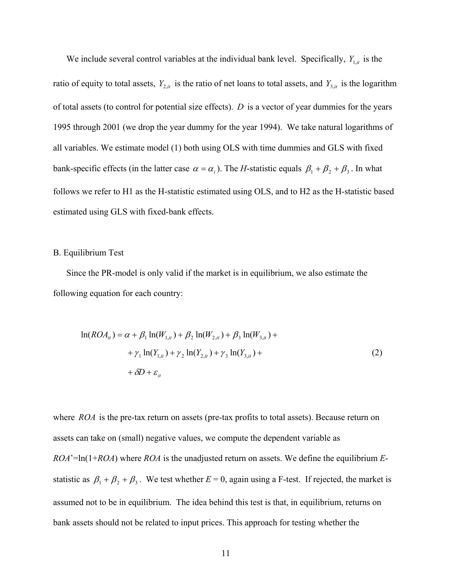We include several control variables at the individual bank level. Specifically,  $Y_{1,i}$  is the ratio of equity to total assets,  $Y_{2,i}$  is the ratio of net loans to total assets, and  $Y_{3,i}$  is the logarithm of total assets (to control for potential size effects). *D* is a vector of year dummies for the years 1995 through 2001 (we drop the year dummy for the year 1994). We take natural logarithms of all variables. We estimate model (1) both using OLS with time dummies and GLS with fixed bank-specific effects (in the latter case  $\alpha = \alpha_i$ ). The *H*-statistic equals  $\beta_1 + \beta_2 + \beta_3$ . In what follows we refer to H1 as the H-statistic estimated using OLS, and to H2 as the H-statistic based estimated using GLS with fixed-bank effects.

# B. Equilibrium Test

Since the PR-model is only valid if the market is in equilibrium, we also estimate the following equation for each country:

$$
\ln(ROA_{ii}) = \alpha + \beta_1 \ln(W_{1,ii}) + \beta_2 \ln(W_{2,ii}) + \beta_3 \ln(W_{3,ii}) +
$$
  
+  $\gamma_1 \ln(Y_{1,ii}) + \gamma_2 \ln(Y_{2,ii}) + \gamma_3 \ln(Y_{3,ii}) +$   
+  $\delta D + \varepsilon_{ii}$  (2)

where *ROA* is the pre-tax return on assets (pre-tax profits to total assets). Because return on assets can take on (small) negative values, we compute the dependent variable as *ROA*'=ln(1+*ROA*) where *ROA* is the unadjusted return on assets. We define the equilibrium *E*statistic as  $\beta_1 + \beta_2 + \beta_3$ . We test whether  $E = 0$ , again using a F-test. If rejected, the market is assumed not to be in equilibrium. The idea behind this test is that, in equilibrium, returns on bank assets should not be related to input prices. This approach for testing whether the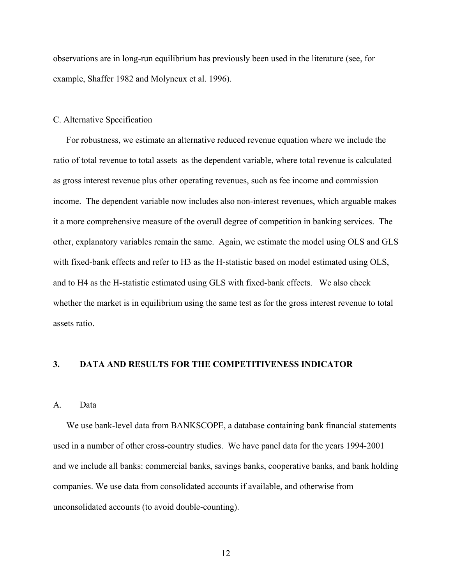observations are in long-run equilibrium has previously been used in the literature (see, for example, Shaffer 1982 and Molyneux et al. 1996).

#### C. Alternative Specification

For robustness, we estimate an alternative reduced revenue equation where we include the ratio of total revenue to total assets as the dependent variable, where total revenue is calculated as gross interest revenue plus other operating revenues, such as fee income and commission income. The dependent variable now includes also non-interest revenues, which arguable makes it a more comprehensive measure of the overall degree of competition in banking services. The other, explanatory variables remain the same. Again, we estimate the model using OLS and GLS with fixed-bank effects and refer to H3 as the H-statistic based on model estimated using OLS, and to H4 as the H-statistic estimated using GLS with fixed-bank effects. We also check whether the market is in equilibrium using the same test as for the gross interest revenue to total assets ratio.

# **3. DATA AND RESULTS FOR THE COMPETITIVENESS INDICATOR**

#### A. Data

We use bank-level data from BANKSCOPE, a database containing bank financial statements used in a number of other cross-country studies. We have panel data for the years 1994-2001 and we include all banks: commercial banks, savings banks, cooperative banks, and bank holding companies. We use data from consolidated accounts if available, and otherwise from unconsolidated accounts (to avoid double-counting).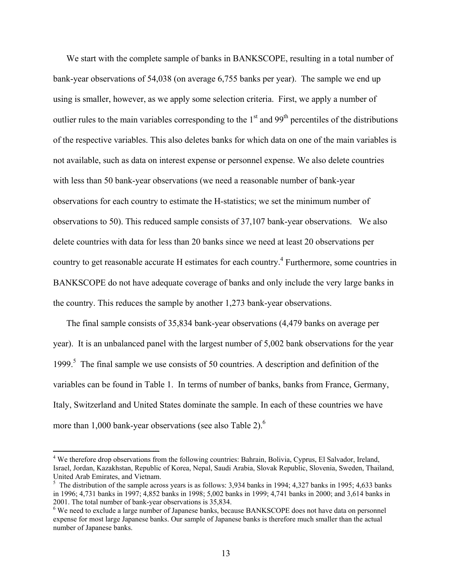We start with the complete sample of banks in BANKSCOPE, resulting in a total number of bank-year observations of 54,038 (on average 6,755 banks per year). The sample we end up using is smaller, however, as we apply some selection criteria. First, we apply a number of outlier rules to the main variables corresponding to the  $1<sup>st</sup>$  and 99<sup>th</sup> percentiles of the distributions of the respective variables. This also deletes banks for which data on one of the main variables is not available, such as data on interest expense or personnel expense. We also delete countries with less than 50 bank-year observations (we need a reasonable number of bank-year observations for each country to estimate the H-statistics; we set the minimum number of observations to 50). This reduced sample consists of 37,107 bank-year observations. We also delete countries with data for less than 20 banks since we need at least 20 observations per country to get reasonable accurate H estimates for each country.<sup>4</sup> Furthermore, some countries in BANKSCOPE do not have adequate coverage of banks and only include the very large banks in the country. This reduces the sample by another 1,273 bank-year observations.

The final sample consists of 35,834 bank-year observations (4,479 banks on average per year). It is an unbalanced panel with the largest number of 5,002 bank observations for the year 1999.<sup>5</sup> The final sample we use consists of 50 countries. A description and definition of the variables can be found in Table 1. In terms of number of banks, banks from France, Germany, Italy, Switzerland and United States dominate the sample. In each of these countries we have more than 1,000 bank-year observations (see also Table 2). $<sup>6</sup>$ </sup>

 $\overline{a}$ 

<sup>&</sup>lt;sup>4</sup> We therefore drop observations from the following countries: Bahrain, Bolivia, Cyprus, El Salvador, Ireland, Israel, Jordan, Kazakhstan, Republic of Korea, Nepal, Saudi Arabia, Slovak Republic, Slovenia, Sweden, Thailand, United Arab Emirates, and Vietnam.

<sup>&</sup>lt;sup>5</sup> The distribution of the sample across years is as follows: 3,934 banks in 1994; 4,327 banks in 1995; 4,633 banks in 1996; 4,731 banks in 1997; 4,852 banks in 1998; 5,002 banks in 1999; 4,741 banks in 2000; and 3,614 banks in 2001. The total number of bank-year observations is 35,834.

<sup>&</sup>lt;sup>6</sup> We need to exclude a large number of Japanese banks, because BANKSCOPE does not have data on personnel expense for most large Japanese banks. Our sample of Japanese banks is therefore much smaller than the actual number of Japanese banks.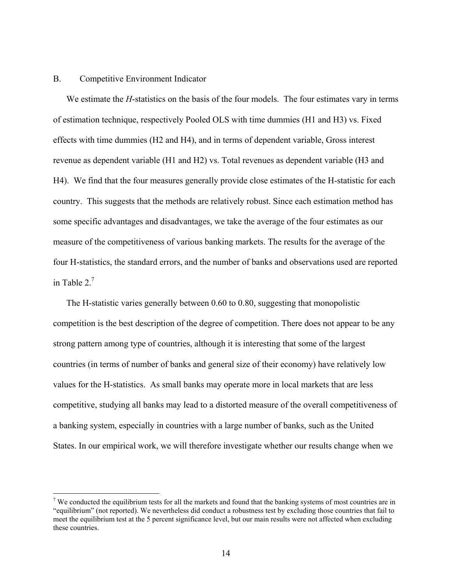#### B. Competitive Environment Indicator

 $\overline{a}$ 

We estimate the *H*-statistics on the basis of the four models. The four estimates vary in terms of estimation technique, respectively Pooled OLS with time dummies (H1 and H3) vs. Fixed effects with time dummies (H2 and H4), and in terms of dependent variable, Gross interest revenue as dependent variable (H1 and H2) vs. Total revenues as dependent variable (H3 and H4). We find that the four measures generally provide close estimates of the H-statistic for each country. This suggests that the methods are relatively robust. Since each estimation method has some specific advantages and disadvantages, we take the average of the four estimates as our measure of the competitiveness of various banking markets. The results for the average of the four H-statistics, the standard errors, and the number of banks and observations used are reported in Table  $2<sup>7</sup>$ 

The H-statistic varies generally between 0.60 to 0.80, suggesting that monopolistic competition is the best description of the degree of competition. There does not appear to be any strong pattern among type of countries, although it is interesting that some of the largest countries (in terms of number of banks and general size of their economy) have relatively low values for the H-statistics. As small banks may operate more in local markets that are less competitive, studying all banks may lead to a distorted measure of the overall competitiveness of a banking system, especially in countries with a large number of banks, such as the United States. In our empirical work, we will therefore investigate whether our results change when we

 $<sup>7</sup>$  We conducted the equilibrium tests for all the markets and found that the banking systems of most countries are in</sup> "equilibrium" (not reported). We nevertheless did conduct a robustness test by excluding those countries that fail to meet the equilibrium test at the 5 percent significance level, but our main results were not affected when excluding these countries.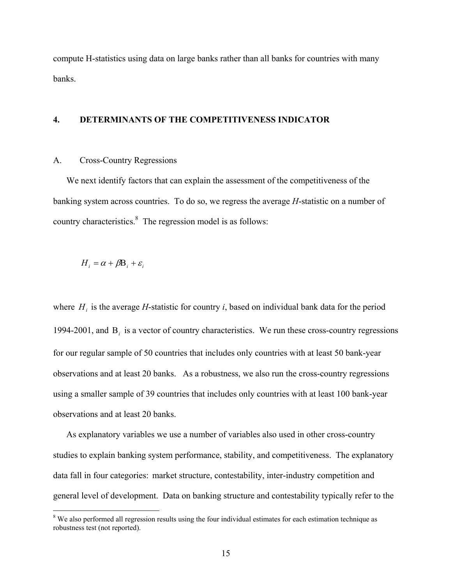compute H-statistics using data on large banks rather than all banks for countries with many banks.

# **4. DETERMINANTS OF THE COMPETITIVENESS INDICATOR**

#### A. Cross-Country Regressions

We next identify factors that can explain the assessment of the competitiveness of the banking system across countries. To do so, we regress the average *H*-statistic on a number of country characteristics. $8 \text{ The regression model is as follows:}$ 

$$
H_i = \alpha + \beta B_i + \varepsilon_i
$$

 $\overline{a}$ 

where  $H_i$  is the average *H*-statistic for country *i*, based on individual bank data for the period 1994-2001, and Β*i* is a vector of country characteristics. We run these cross-country regressions for our regular sample of 50 countries that includes only countries with at least 50 bank-year observations and at least 20 banks. As a robustness, we also run the cross-country regressions using a smaller sample of 39 countries that includes only countries with at least 100 bank-year observations and at least 20 banks.

As explanatory variables we use a number of variables also used in other cross-country studies to explain banking system performance, stability, and competitiveness. The explanatory data fall in four categories: market structure, contestability, inter-industry competition and general level of development. Data on banking structure and contestability typically refer to the

<sup>&</sup>lt;sup>8</sup> We also performed all regression results using the four individual estimates for each estimation technique as robustness test (not reported).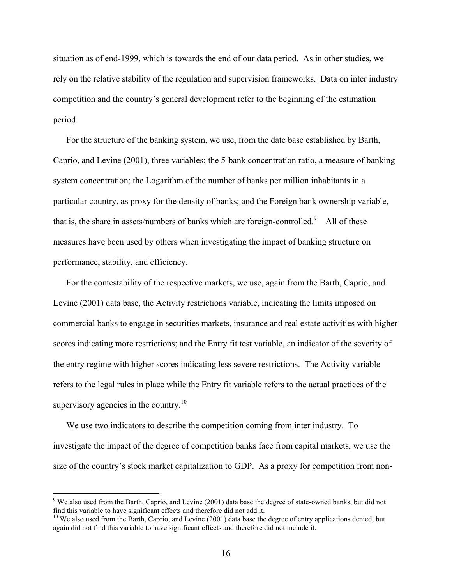situation as of end-1999, which is towards the end of our data period. As in other studies, we rely on the relative stability of the regulation and supervision frameworks. Data on inter industry competition and the country's general development refer to the beginning of the estimation period.

For the structure of the banking system, we use, from the date base established by Barth, Caprio, and Levine (2001), three variables: the 5-bank concentration ratio, a measure of banking system concentration; the Logarithm of the number of banks per million inhabitants in a particular country, as proxy for the density of banks; and the Foreign bank ownership variable, that is, the share in assets/numbers of banks which are foreign-controlled.<sup>9</sup> All of these measures have been used by others when investigating the impact of banking structure on performance, stability, and efficiency.

For the contestability of the respective markets, we use, again from the Barth, Caprio, and Levine (2001) data base, the Activity restrictions variable, indicating the limits imposed on commercial banks to engage in securities markets, insurance and real estate activities with higher scores indicating more restrictions; and the Entry fit test variable, an indicator of the severity of the entry regime with higher scores indicating less severe restrictions. The Activity variable refers to the legal rules in place while the Entry fit variable refers to the actual practices of the supervisory agencies in the country.<sup>10</sup>

We use two indicators to describe the competition coming from inter industry. To investigate the impact of the degree of competition banks face from capital markets, we use the size of the country's stock market capitalization to GDP. As a proxy for competition from non-

 $\overline{a}$ 

 $9$  We also used from the Barth, Caprio, and Levine (2001) data base the degree of state-owned banks, but did not find this variable to have significant effects and therefore did not add it.

<sup>&</sup>lt;sup>10</sup> We also used from the Barth, Caprio, and Levine (2001) data base the degree of entry applications denied, but again did not find this variable to have significant effects and therefore did not include it.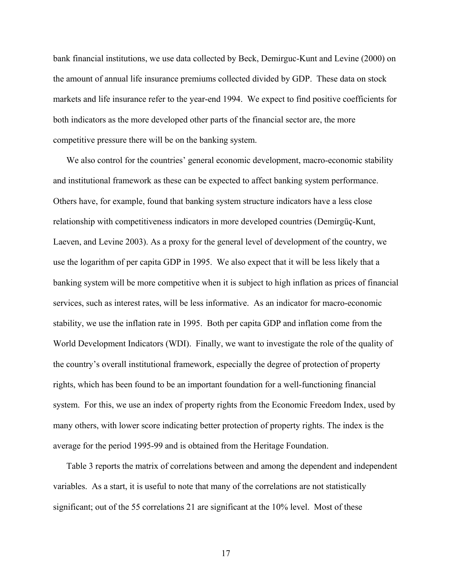bank financial institutions, we use data collected by Beck, Demirguc-Kunt and Levine (2000) on the amount of annual life insurance premiums collected divided by GDP. These data on stock markets and life insurance refer to the year-end 1994. We expect to find positive coefficients for both indicators as the more developed other parts of the financial sector are, the more competitive pressure there will be on the banking system.

We also control for the countries' general economic development, macro-economic stability and institutional framework as these can be expected to affect banking system performance. Others have, for example, found that banking system structure indicators have a less close relationship with competitiveness indicators in more developed countries (Demirgüç-Kunt, Laeven, and Levine 2003). As a proxy for the general level of development of the country, we use the logarithm of per capita GDP in 1995. We also expect that it will be less likely that a banking system will be more competitive when it is subject to high inflation as prices of financial services, such as interest rates, will be less informative. As an indicator for macro-economic stability, we use the inflation rate in 1995. Both per capita GDP and inflation come from the World Development Indicators (WDI). Finally, we want to investigate the role of the quality of the country's overall institutional framework, especially the degree of protection of property rights, which has been found to be an important foundation for a well-functioning financial system. For this, we use an index of property rights from the Economic Freedom Index, used by many others, with lower score indicating better protection of property rights. The index is the average for the period 1995-99 and is obtained from the Heritage Foundation.

Table 3 reports the matrix of correlations between and among the dependent and independent variables. As a start, it is useful to note that many of the correlations are not statistically significant; out of the 55 correlations 21 are significant at the 10% level. Most of these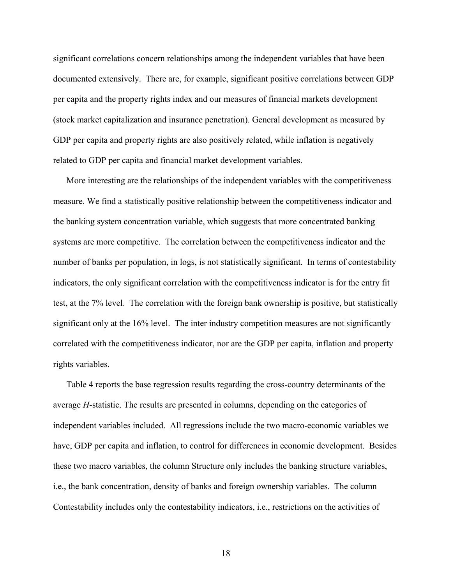significant correlations concern relationships among the independent variables that have been documented extensively. There are, for example, significant positive correlations between GDP per capita and the property rights index and our measures of financial markets development (stock market capitalization and insurance penetration). General development as measured by GDP per capita and property rights are also positively related, while inflation is negatively related to GDP per capita and financial market development variables.

More interesting are the relationships of the independent variables with the competitiveness measure. We find a statistically positive relationship between the competitiveness indicator and the banking system concentration variable, which suggests that more concentrated banking systems are more competitive. The correlation between the competitiveness indicator and the number of banks per population, in logs, is not statistically significant. In terms of contestability indicators, the only significant correlation with the competitiveness indicator is for the entry fit test, at the 7% level. The correlation with the foreign bank ownership is positive, but statistically significant only at the 16% level. The inter industry competition measures are not significantly correlated with the competitiveness indicator, nor are the GDP per capita, inflation and property rights variables.

Table 4 reports the base regression results regarding the cross-country determinants of the average *H*-statistic. The results are presented in columns, depending on the categories of independent variables included. All regressions include the two macro-economic variables we have, GDP per capita and inflation, to control for differences in economic development. Besides these two macro variables, the column Structure only includes the banking structure variables, i.e., the bank concentration, density of banks and foreign ownership variables. The column Contestability includes only the contestability indicators, i.e., restrictions on the activities of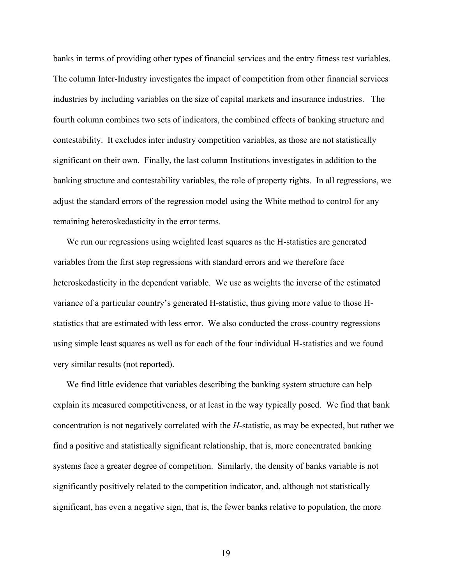banks in terms of providing other types of financial services and the entry fitness test variables. The column Inter-Industry investigates the impact of competition from other financial services industries by including variables on the size of capital markets and insurance industries. The fourth column combines two sets of indicators, the combined effects of banking structure and contestability. It excludes inter industry competition variables, as those are not statistically significant on their own. Finally, the last column Institutions investigates in addition to the banking structure and contestability variables, the role of property rights. In all regressions, we adjust the standard errors of the regression model using the White method to control for any remaining heteroskedasticity in the error terms.

We run our regressions using weighted least squares as the H-statistics are generated variables from the first step regressions with standard errors and we therefore face heteroskedasticity in the dependent variable. We use as weights the inverse of the estimated variance of a particular country's generated H-statistic, thus giving more value to those Hstatistics that are estimated with less error. We also conducted the cross-country regressions using simple least squares as well as for each of the four individual H-statistics and we found very similar results (not reported).

We find little evidence that variables describing the banking system structure can help explain its measured competitiveness, or at least in the way typically posed. We find that bank concentration is not negatively correlated with the *H*-statistic, as may be expected, but rather we find a positive and statistically significant relationship, that is, more concentrated banking systems face a greater degree of competition. Similarly, the density of banks variable is not significantly positively related to the competition indicator, and, although not statistically significant, has even a negative sign, that is, the fewer banks relative to population, the more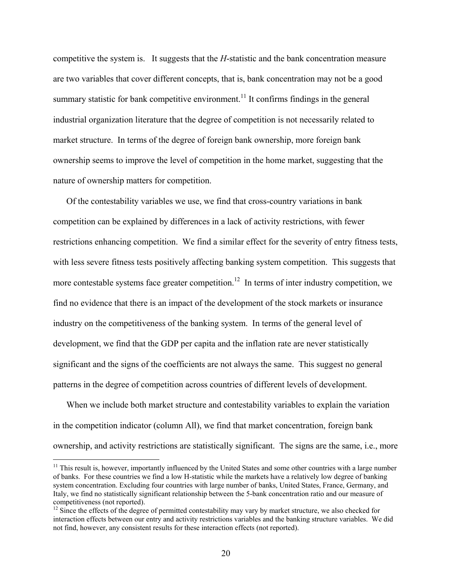competitive the system is. It suggests that the *H*-statistic and the bank concentration measure are two variables that cover different concepts, that is, bank concentration may not be a good summary statistic for bank competitive environment.<sup>11</sup> It confirms findings in the general industrial organization literature that the degree of competition is not necessarily related to market structure. In terms of the degree of foreign bank ownership, more foreign bank ownership seems to improve the level of competition in the home market, suggesting that the nature of ownership matters for competition.

Of the contestability variables we use, we find that cross-country variations in bank competition can be explained by differences in a lack of activity restrictions, with fewer restrictions enhancing competition. We find a similar effect for the severity of entry fitness tests, with less severe fitness tests positively affecting banking system competition. This suggests that more contestable systems face greater competition.<sup>12</sup> In terms of inter industry competition, we find no evidence that there is an impact of the development of the stock markets or insurance industry on the competitiveness of the banking system. In terms of the general level of development, we find that the GDP per capita and the inflation rate are never statistically significant and the signs of the coefficients are not always the same. This suggest no general patterns in the degree of competition across countries of different levels of development.

When we include both market structure and contestability variables to explain the variation in the competition indicator (column All), we find that market concentration, foreign bank ownership, and activity restrictions are statistically significant. The signs are the same, i.e., more

 $\overline{a}$ 

 $11$  This result is, however, importantly influenced by the United States and some other countries with a large number of banks. For these countries we find a low H-statistic while the markets have a relatively low degree of banking system concentration. Excluding four countries with large number of banks, United States, France, Germany, and Italy, we find no statistically significant relationship between the 5-bank concentration ratio and our measure of competitiveness (not reported).

<sup>&</sup>lt;sup>12</sup> Since the effects of the degree of permitted contestability may vary by market structure, we also checked for interaction effects between our entry and activity restrictions variables and the banking structure variables. We did not find, however, any consistent results for these interaction effects (not reported).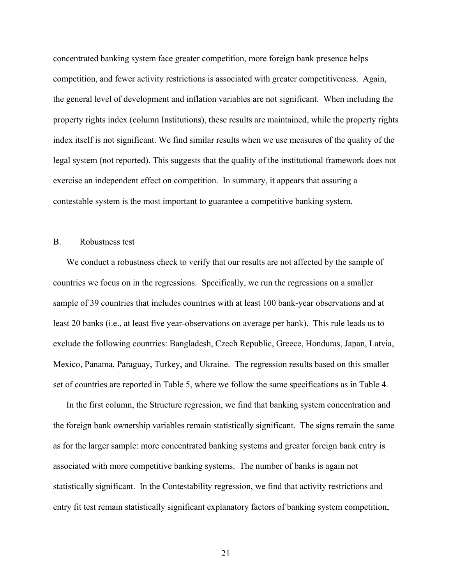concentrated banking system face greater competition, more foreign bank presence helps competition, and fewer activity restrictions is associated with greater competitiveness. Again, the general level of development and inflation variables are not significant. When including the property rights index (column Institutions), these results are maintained, while the property rights index itself is not significant. We find similar results when we use measures of the quality of the legal system (not reported). This suggests that the quality of the institutional framework does not exercise an independent effect on competition. In summary, it appears that assuring a contestable system is the most important to guarantee a competitive banking system.

# B. Robustness test

We conduct a robustness check to verify that our results are not affected by the sample of countries we focus on in the regressions. Specifically, we run the regressions on a smaller sample of 39 countries that includes countries with at least 100 bank-year observations and at least 20 banks (i.e., at least five year-observations on average per bank). This rule leads us to exclude the following countries: Bangladesh, Czech Republic, Greece, Honduras, Japan, Latvia, Mexico, Panama, Paraguay, Turkey, and Ukraine. The regression results based on this smaller set of countries are reported in Table 5, where we follow the same specifications as in Table 4.

In the first column, the Structure regression, we find that banking system concentration and the foreign bank ownership variables remain statistically significant. The signs remain the same as for the larger sample: more concentrated banking systems and greater foreign bank entry is associated with more competitive banking systems. The number of banks is again not statistically significant. In the Contestability regression, we find that activity restrictions and entry fit test remain statistically significant explanatory factors of banking system competition,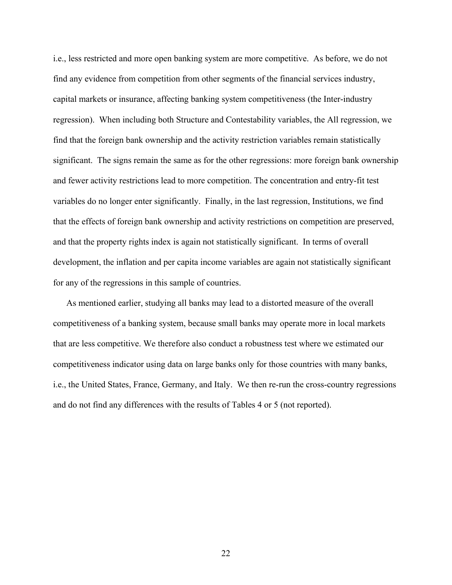i.e., less restricted and more open banking system are more competitive. As before, we do not find any evidence from competition from other segments of the financial services industry, capital markets or insurance, affecting banking system competitiveness (the Inter-industry regression). When including both Structure and Contestability variables, the All regression, we find that the foreign bank ownership and the activity restriction variables remain statistically significant. The signs remain the same as for the other regressions: more foreign bank ownership and fewer activity restrictions lead to more competition. The concentration and entry-fit test variables do no longer enter significantly. Finally, in the last regression, Institutions, we find that the effects of foreign bank ownership and activity restrictions on competition are preserved, and that the property rights index is again not statistically significant. In terms of overall development, the inflation and per capita income variables are again not statistically significant for any of the regressions in this sample of countries.

As mentioned earlier, studying all banks may lead to a distorted measure of the overall competitiveness of a banking system, because small banks may operate more in local markets that are less competitive. We therefore also conduct a robustness test where we estimated our competitiveness indicator using data on large banks only for those countries with many banks, i.e., the United States, France, Germany, and Italy. We then re-run the cross-country regressions and do not find any differences with the results of Tables 4 or 5 (not reported).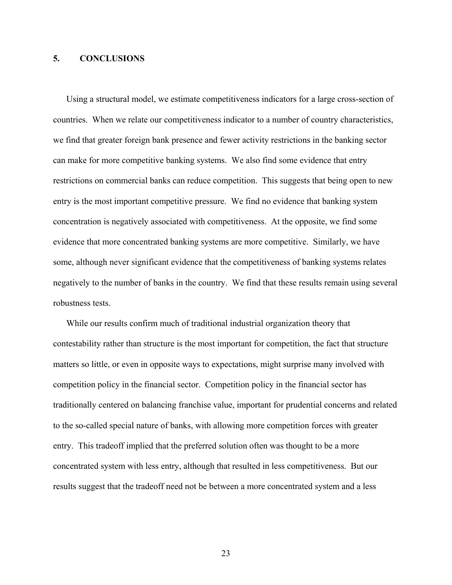# **5. CONCLUSIONS**

Using a structural model, we estimate competitiveness indicators for a large cross-section of countries. When we relate our competitiveness indicator to a number of country characteristics, we find that greater foreign bank presence and fewer activity restrictions in the banking sector can make for more competitive banking systems. We also find some evidence that entry restrictions on commercial banks can reduce competition. This suggests that being open to new entry is the most important competitive pressure. We find no evidence that banking system concentration is negatively associated with competitiveness. At the opposite, we find some evidence that more concentrated banking systems are more competitive. Similarly, we have some, although never significant evidence that the competitiveness of banking systems relates negatively to the number of banks in the country. We find that these results remain using several robustness tests.

While our results confirm much of traditional industrial organization theory that contestability rather than structure is the most important for competition, the fact that structure matters so little, or even in opposite ways to expectations, might surprise many involved with competition policy in the financial sector. Competition policy in the financial sector has traditionally centered on balancing franchise value, important for prudential concerns and related to the so-called special nature of banks, with allowing more competition forces with greater entry. This tradeoff implied that the preferred solution often was thought to be a more concentrated system with less entry, although that resulted in less competitiveness. But our results suggest that the tradeoff need not be between a more concentrated system and a less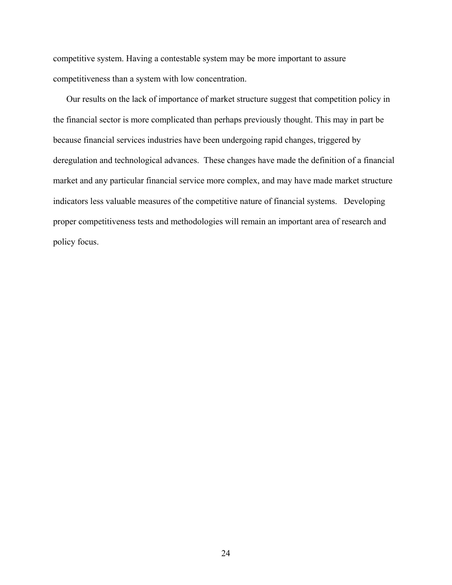competitive system. Having a contestable system may be more important to assure competitiveness than a system with low concentration.

Our results on the lack of importance of market structure suggest that competition policy in the financial sector is more complicated than perhaps previously thought. This may in part be because financial services industries have been undergoing rapid changes, triggered by deregulation and technological advances. These changes have made the definition of a financial market and any particular financial service more complex, and may have made market structure indicators less valuable measures of the competitive nature of financial systems. Developing proper competitiveness tests and methodologies will remain an important area of research and policy focus.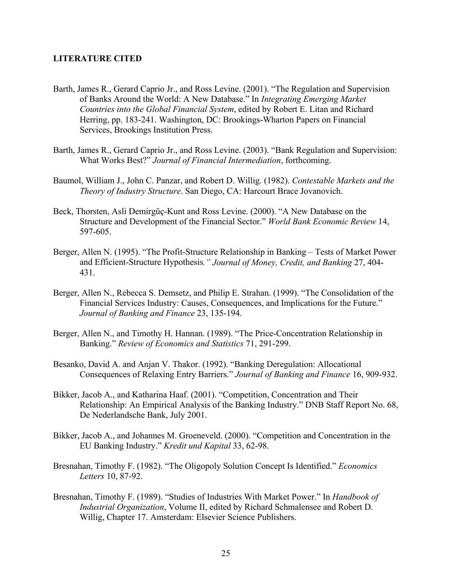#### **LITERATURE CITED**

- Barth, James R., Gerard Caprio Jr., and Ross Levine. (2001). "The Regulation and Supervision of Banks Around the World: A New Database." In *Integrating Emerging Market Countries into the Global Financial System*, edited by Robert E. Litan and Richard Herring, pp. 183-241. Washington, DC: Brookings-Wharton Papers on Financial Services, Brookings Institution Press.
- Barth, James R., Gerard Caprio Jr., and Ross Levine. (2003). "Bank Regulation and Supervision: What Works Best?" *Journal of Financial Intermediation*, forthcoming.
- Baumol, William J., John C. Panzar, and Robert D. Willig. (1982). *Contestable Markets and the Theory of Industry Structure*. San Diego, CA: Harcourt Brace Jovanovich.
- Beck, Thorsten, Asli Demirgüç-Kunt and Ross Levine. (2000). "A New Database on the Structure and Development of the Financial Sector." *World Bank Economic Review* 14, 597-605.
- Berger, Allen N. (1995). "The Profit-Structure Relationship in Banking Tests of Market Power and Efficient-Structure Hypothesis*." Journal of Money, Credit, and Banking* 27, 404- 431.
- Berger, Allen N., Rebecca S. Demsetz, and Philip E. Strahan. (1999). "The Consolidation of the Financial Services Industry: Causes, Consequences, and Implications for the Future." *Journal of Banking and Finance* 23, 135-194.
- Berger, Allen N., and Timothy H. Hannan. (1989). "The Price-Concentration Relationship in Banking." *Review of Economics and Statistics* 71, 291-299.
- Besanko, David A. and Anjan V. Thakor. (1992). "Banking Deregulation: Allocational Consequences of Relaxing Entry Barriers." *Journal of Banking and Finance* 16, 909-932.
- Bikker, Jacob A., and Katharina Haaf. (2001). "Competition, Concentration and Their Relationship: An Empirical Analysis of the Banking Industry." DNB Staff Report No. 68, De Nederlandsche Bank, July 2001.
- Bikker, Jacob A., and Johannes M. Groeneveld. (2000). "Competition and Concentration in the EU Banking Industry." *Kredit und Kapital* 33, 62-98.
- Bresnahan, Timothy F. (1982). "The Oligopoly Solution Concept Is Identified." *Economics Letters* 10, 87-92.
- Bresnahan, Timothy F. (1989). "Studies of Industries With Market Power." In *Handbook of Industrial Organization*, Volume II, edited by Richard Schmalensee and Robert D. Willig, Chapter 17. Amsterdam: Elsevier Science Publishers.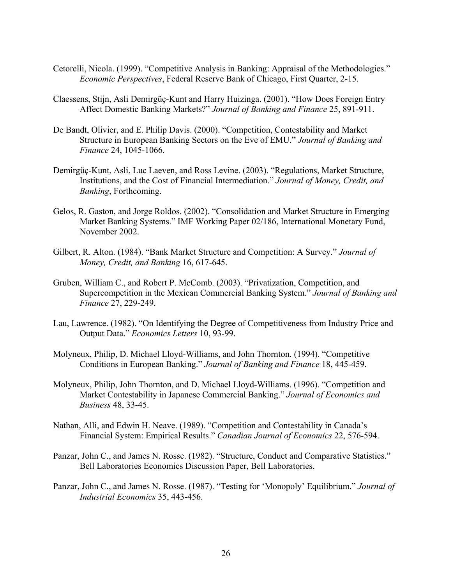- Cetorelli, Nicola. (1999). "Competitive Analysis in Banking: Appraisal of the Methodologies." *Economic Perspectives*, Federal Reserve Bank of Chicago, First Quarter, 2-15.
- Claessens, Stijn, Asli Demirgüç-Kunt and Harry Huizinga. (2001). "How Does Foreign Entry Affect Domestic Banking Markets?" *Journal of Banking and Finance* 25, 891-911.
- De Bandt, Olivier, and E. Philip Davis. (2000). "Competition, Contestability and Market Structure in European Banking Sectors on the Eve of EMU." *Journal of Banking and Finance* 24, 1045-1066.
- Demirgüç-Kunt, Asli, Luc Laeven, and Ross Levine. (2003). "Regulations, Market Structure, Institutions, and the Cost of Financial Intermediation." *Journal of Money, Credit, and Banking*, Forthcoming.
- Gelos, R. Gaston, and Jorge Roldos. (2002). "Consolidation and Market Structure in Emerging Market Banking Systems." IMF Working Paper 02/186, International Monetary Fund, November 2002.
- Gilbert, R. Alton. (1984). "Bank Market Structure and Competition: A Survey." *Journal of Money, Credit, and Banking* 16, 617-645.
- Gruben, William C., and Robert P. McComb. (2003). "Privatization, Competition, and Supercompetition in the Mexican Commercial Banking System." *Journal of Banking and Finance* 27, 229-249.
- Lau, Lawrence. (1982). "On Identifying the Degree of Competitiveness from Industry Price and Output Data." *Economics Letters* 10, 93-99.
- Molyneux, Philip, D. Michael Lloyd-Williams, and John Thornton. (1994). "Competitive Conditions in European Banking." *Journal of Banking and Finance* 18, 445-459.
- Molyneux, Philip, John Thornton, and D. Michael Lloyd-Williams. (1996). "Competition and Market Contestability in Japanese Commercial Banking." *Journal of Economics and Business* 48, 33-45.
- Nathan, Alli, and Edwin H. Neave. (1989). "Competition and Contestability in Canada's Financial System: Empirical Results." *Canadian Journal of Economics* 22, 576-594.
- Panzar, John C., and James N. Rosse. (1982). "Structure, Conduct and Comparative Statistics." Bell Laboratories Economics Discussion Paper, Bell Laboratories.
- Panzar, John C., and James N. Rosse. (1987). "Testing for 'Monopoly' Equilibrium." *Journal of Industrial Economics* 35, 443-456.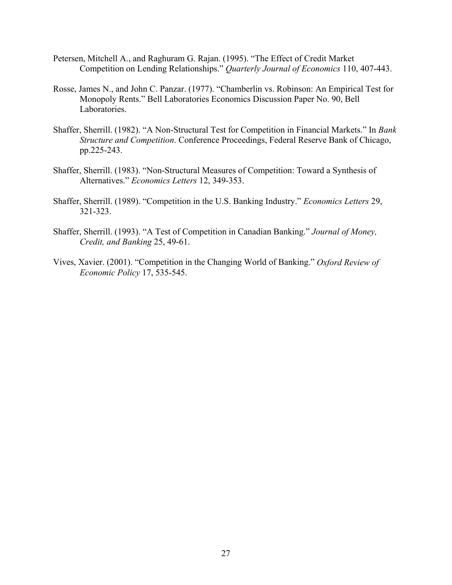- Petersen, Mitchell A., and Raghuram G. Rajan. (1995). "The Effect of Credit Market Competition on Lending Relationships." *Quarterly Journal of Economics* 110, 407-443.
- Rosse, James N., and John C. Panzar. (1977). "Chamberlin vs. Robinson: An Empirical Test for Monopoly Rents." Bell Laboratories Economics Discussion Paper No. 90, Bell Laboratories.
- Shaffer, Sherrill. (1982). "A Non-Structural Test for Competition in Financial Markets." In *Bank Structure and Competition*. Conference Proceedings, Federal Reserve Bank of Chicago, pp.225-243.
- Shaffer, Sherrill. (1983). "Non-Structural Measures of Competition: Toward a Synthesis of Alternatives." *Economics Letters* 12, 349-353.
- Shaffer, Sherrill. (1989). "Competition in the U.S. Banking Industry." *Economics Letters* 29, 321-323.
- Shaffer, Sherrill. (1993). "A Test of Competition in Canadian Banking." *Journal of Money, Credit, and Banking* 25, 49-61.
- Vives, Xavier. (2001). "Competition in the Changing World of Banking." *Oxford Review of Economic Policy* 17, 535-545.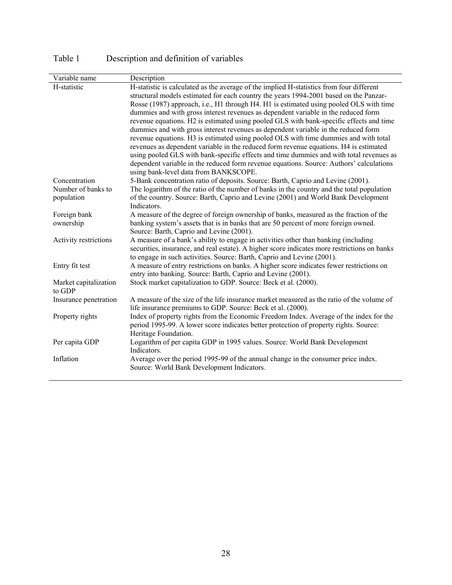| Variable name         | Description                                                                                                                     |
|-----------------------|---------------------------------------------------------------------------------------------------------------------------------|
| H-statistic           | H-statistic is calculated as the average of the implied H-statistics from four different                                        |
|                       | structural models estimated for each country the years 1994-2001 based on the Panzar-                                           |
|                       | Rosse (1987) approach, i.e., H1 through H4. H1 is estimated using pooled OLS with time                                          |
|                       | dummies and with gross interest revenues as dependent variable in the reduced form                                              |
|                       | revenue equations. H2 is estimated using pooled GLS with bank-specific effects and time                                         |
|                       | dummies and with gross interest revenues as dependent variable in the reduced form                                              |
|                       | revenue equations. H3 is estimated using pooled OLS with time dummies and with total                                            |
|                       | revenues as dependent variable in the reduced form revenue equations. H4 is estimated                                           |
|                       | using pooled GLS with bank-specific effects and time dummies and with total revenues as                                         |
|                       | dependent variable in the reduced form revenue equations. Source: Authors' calculations                                         |
|                       | using bank-level data from BANKSCOPE.                                                                                           |
| Concentration         | 5-Bank concentration ratio of deposits. Source: Barth, Caprio and Levine (2001).                                                |
| Number of banks to    | The logarithm of the ratio of the number of banks in the country and the total population                                       |
| population            | of the country. Source: Barth, Caprio and Levine (2001) and World Bank Development                                              |
|                       | Indicators.                                                                                                                     |
| Foreign bank          | A measure of the degree of foreign ownership of banks, measured as the fraction of the                                          |
| ownership             | banking system's assets that is in banks that are 50 percent of more foreign owned.<br>Source: Barth, Caprio and Levine (2001). |
| Activity restrictions | A measure of a bank's ability to engage in activities other than banking (including                                             |
|                       | securities, insurance, and real estate). A higher score indicates more restrictions on banks                                    |
|                       | to engage in such activities. Source: Barth, Caprio and Levine (2001).                                                          |
| Entry fit test        | A measure of entry restrictions on banks. A higher score indicates fewer restrictions on                                        |
|                       | entry into banking. Source: Barth, Caprio and Levine (2001).                                                                    |
| Market capitalization | Stock market capitalization to GDP. Source: Beck et al. (2000).                                                                 |
| to GDP                |                                                                                                                                 |
| Insurance penetration | A measure of the size of the life insurance market measured as the ratio of the volume of                                       |
|                       | life insurance premiums to GDP. Source: Beck et al. (2000).                                                                     |
| Property rights       | Index of property rights from the Economic Freedom Index. Average of the index for the                                          |
|                       | period 1995-99. A lower score indicates better protection of property rights. Source:                                           |
|                       | Heritage Foundation.                                                                                                            |
| Per capita GDP        | Logarithm of per capita GDP in 1995 values. Source: World Bank Development                                                      |
|                       | Indicators.                                                                                                                     |
| Inflation             | Average over the period 1995-99 of the annual change in the consumer price index.                                               |
|                       | Source: World Bank Development Indicators.                                                                                      |
|                       |                                                                                                                                 |

Table 1 Description and definition of variables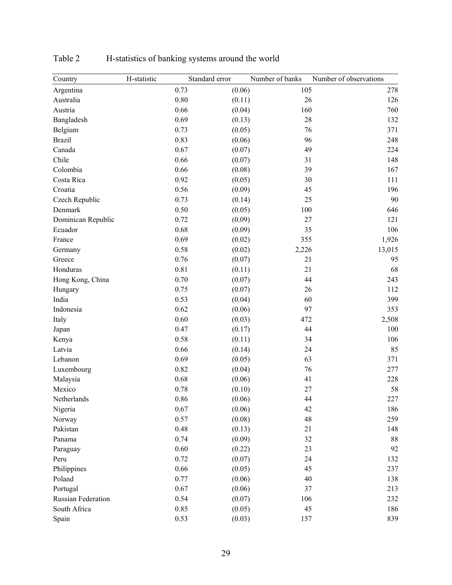| Country            | H-statistic | Standard error | Number of banks | Number of observations |
|--------------------|-------------|----------------|-----------------|------------------------|
| Argentina          | 0.73        |                | (0.06)          | 105<br>278             |
| Australia          | 0.80        |                | (0.11)          | 26<br>126              |
| Austria            | 0.66        |                | (0.04)          | 160<br>760             |
| Bangladesh         | 0.69        |                | (0.13)          | 28<br>132              |
| Belgium            | 0.73        |                | (0.05)          | 76<br>371              |
| <b>Brazil</b>      | 0.83        |                | (0.06)          | 96<br>248              |
| Canada             | 0.67        |                | (0.07)          | 49<br>224              |
| Chile              | 0.66        |                | (0.07)          | 31<br>148              |
| Colombia           | 0.66        |                | (0.08)          | 39<br>167              |
| Costa Rica         | 0.92        |                | (0.05)          | 30<br>111              |
| Croatia            | 0.56        |                | (0.09)          | 45<br>196              |
| Czech Republic     | 0.73        |                | (0.14)          | 25<br>90               |
| Denmark            | 0.50        |                | (0.05)          | 100<br>646             |
| Dominican Republic | 0.72        |                | (0.09)          | 27<br>121              |
| Ecuador            | 0.68        |                | (0.09)          | 35<br>106              |
| France             | 0.69        |                | (0.02)<br>355   | 1,926                  |
| Germany            | 0.58        |                | (0.02)<br>2,226 | 13,015                 |
| Greece             | 0.76        |                | (0.07)          | 21<br>95               |
| Honduras           | 0.81        |                | (0.11)          | 68<br>21               |
| Hong Kong, China   | 0.70        |                | (0.07)          | 44<br>243              |
| Hungary            | 0.75        |                | (0.07)          | 112<br>26              |
| India              | 0.53        |                | (0.04)          | 399<br>60              |
| Indonesia          | 0.62        |                | (0.06)          | 97<br>353              |
| Italy              | 0.60        |                | (0.03)<br>472   | 2,508                  |
| Japan              | 0.47        |                | (0.17)          | 44<br>100              |
| Kenya              | 0.58        |                | (0.11)          | 106<br>34              |
| Latvia             | 0.66        |                | (0.14)          | 85<br>24               |
| Lebanon            | 0.69        |                | (0.05)          | 63<br>371              |
| Luxembourg         | 0.82        |                | (0.04)          | 76<br>277              |
| Malaysia           | 0.68        |                | (0.06)          | 228<br>41              |
| Mexico             | 0.78        |                | (0.10)          | 27<br>58               |
| Netherlands        | 0.86        |                | (0.06)          | 44<br>227              |
| Nigeria            | 0.67        |                | (0.06)          | 42<br>186              |
| Norway             | 0.57        |                | (0.08)          | 48<br>259              |
| Pakistan           | 0.48        |                | (0.13)          | 21<br>148              |
| Panama             | 0.74        |                | (0.09)          | 32<br>88               |
| Paraguay           | 0.60        |                | (0.22)          | 92<br>23               |
| Peru               | 0.72        |                | (0.07)          | 132<br>24              |
| Philippines        | 0.66        |                | (0.05)          | 45<br>237              |
| Poland             | 0.77        |                | (0.06)          | 40<br>138              |
| Portugal           | 0.67        |                | (0.06)          | 37<br>213              |
| Russian Federation | 0.54        |                | (0.07)          | 232<br>106             |
| South Africa       | 0.85        |                | (0.05)          | 45<br>186              |
| Spain              | 0.53        |                | (0.03)          | 157<br>839             |

Table 2 H-statistics of banking systems around the world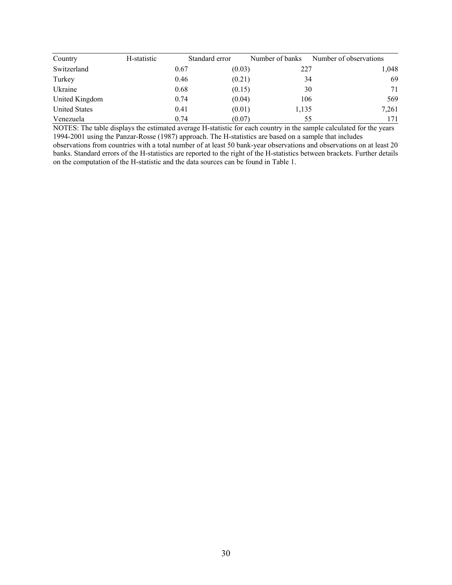| Country              | H-statistic |      | Standard error | Number of banks | Number of observations |  |
|----------------------|-------------|------|----------------|-----------------|------------------------|--|
| Switzerland          |             | 0.67 | (0.03)         | 227             | 1,048                  |  |
| Turkey               |             | 0.46 | (0.21)         | 34              | 69                     |  |
| Ukraine              |             | 0.68 | (0.15)         | 30              | 71                     |  |
| United Kingdom       |             | 0.74 | (0.04)         | 106             | 569                    |  |
| <b>United States</b> |             | 0.41 | (0.01)         | 1,135           | 7,261                  |  |
| Venezuela            |             | 0.74 | (0.07)         | 55              | 171                    |  |

NOTES: The table displays the estimated average H-statistic for each country in the sample calculated for the years 1994-2001 using the Panzar-Rosse (1987) approach. The H-statistics are based on a sample that includes

observations from countries with a total number of at least 50 bank-year observations and observations on at least 20 banks. Standard errors of the H-statistics are reported to the right of the H-statistics between brackets. Further details on the computation of the H-statistic and the data sources can be found in Table 1.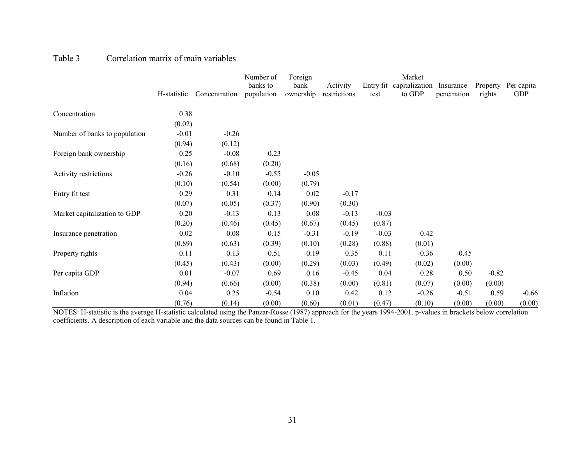|                               |             |               | Number of              | Foreign           | Market                   |         |                                    |                          |                    |                          |
|-------------------------------|-------------|---------------|------------------------|-------------------|--------------------------|---------|------------------------------------|--------------------------|--------------------|--------------------------|
|                               | H-statistic | Concentration | banks to<br>population | bank<br>ownership | Activity<br>restrictions | test    | Entry fit capitalization<br>to GDP | Insurance<br>penetration | Property<br>rights | Per capita<br><b>GDP</b> |
| Concentration                 | 0.38        |               |                        |                   |                          |         |                                    |                          |                    |                          |
|                               | (0.02)      |               |                        |                   |                          |         |                                    |                          |                    |                          |
| Number of banks to population | $-0.01$     | $-0.26$       |                        |                   |                          |         |                                    |                          |                    |                          |
|                               | (0.94)      | (0.12)        |                        |                   |                          |         |                                    |                          |                    |                          |
| Foreign bank ownership        | 0.25        | $-0.08$       | 0.23                   |                   |                          |         |                                    |                          |                    |                          |
|                               | (0.16)      | (0.68)        | (0.20)                 |                   |                          |         |                                    |                          |                    |                          |
| Activity restrictions         | $-0.26$     | $-0.10$       | $-0.55$                | $-0.05$           |                          |         |                                    |                          |                    |                          |
|                               | (0.10)      | (0.54)        | (0.00)                 | (0.79)            |                          |         |                                    |                          |                    |                          |
| Entry fit test                | 0.29        | 0.31          | 0.14                   | 0.02              | $-0.17$                  |         |                                    |                          |                    |                          |
|                               | (0.07)      | (0.05)        | (0.37)                 | (0.90)            | (0.30)                   |         |                                    |                          |                    |                          |
| Market capitalization to GDP  | 0.20        | $-0.13$       | 0.13                   | 0.08              | $-0.13$                  | $-0.03$ |                                    |                          |                    |                          |
|                               | (0.20)      | (0.46)        | (0.45)                 | (0.67)            | (0.45)                   | (0.87)  |                                    |                          |                    |                          |
| Insurance penetration         | 0.02        | 0.08          | 0.15                   | $-0.31$           | $-0.19$                  | $-0.03$ | 0.42                               |                          |                    |                          |
|                               | (0.89)      | (0.63)        | (0.39)                 | (0.10)            | (0.28)                   | (0.88)  | (0.01)                             |                          |                    |                          |
| Property rights               | 0.11        | 0.13          | $-0.51$                | $-0.19$           | 0.35                     | 0.11    | $-0.36$                            | $-0.45$                  |                    |                          |
|                               | (0.45)      | (0.43)        | (0.00)                 | (0.29)            | (0.03)                   | (0.49)  | (0.02)                             | (0.00)                   |                    |                          |
| Per capita GDP                | 0.01        | $-0.07$       | 0.69                   | 0.16              | $-0.45$                  | 0.04    | 0.28                               | 0.50                     | $-0.82$            |                          |
|                               | (0.94)      | (0.66)        | (0.00)                 | (0.38)            | (0.00)                   | (0.81)  | (0.07)                             | (0.00)                   | (0.00)             |                          |
| Inflation                     | 0.04        | 0.25          | $-0.54$                | 0.10              | 0.42                     | 0.12    | $-0.26$                            | $-0.51$                  | 0.59               | $-0.66$                  |
|                               | (0.76)      | (0.14)        | (0.00)                 | (0.60)            | (0.01)                   | (0.47)  | (0.10)                             | (0.00)                   | (0.00)             | (0.00)                   |

#### Table 3 Correlation matrix of main variables

NOTES: H-statistic is the average H-statistic calculated using the Panzar-Rosse (1987) approach for the years 1994-2001. p-values in brackets below correlation coefficients. A description of each variable and the data sources can be found in Table 1.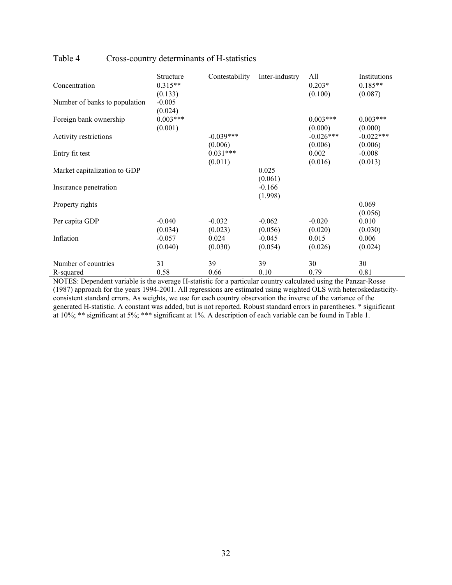|                               | Structure  | Contestability | Inter-industry | All         | Institutions |
|-------------------------------|------------|----------------|----------------|-------------|--------------|
| Concentration                 | $0.315**$  |                |                | $0.203*$    | $0.185**$    |
|                               | (0.133)    |                |                | (0.100)     | (0.087)      |
| Number of banks to population | $-0.005$   |                |                |             |              |
|                               | (0.024)    |                |                |             |              |
| Foreign bank ownership        | $0.003***$ |                |                | $0.003***$  | $0.003***$   |
|                               | (0.001)    |                |                | (0.000)     | (0.000)      |
| Activity restrictions         |            | $-0.039***$    |                | $-0.026***$ | $-0.022***$  |
|                               |            | (0.006)        |                | (0.006)     | (0.006)      |
| Entry fit test                |            | $0.031***$     |                | 0.002       | $-0.008$     |
|                               |            | (0.011)        |                | (0.016)     | (0.013)      |
| Market capitalization to GDP  |            |                | 0.025          |             |              |
|                               |            |                | (0.061)        |             |              |
| Insurance penetration         |            |                | $-0.166$       |             |              |
|                               |            |                | (1.998)        |             |              |
| Property rights               |            |                |                |             | 0.069        |
|                               |            |                |                |             | (0.056)      |
| Per capita GDP                | $-0.040$   | $-0.032$       | $-0.062$       | $-0.020$    | 0.010        |
|                               | (0.034)    | (0.023)        | (0.056)        | (0.020)     | (0.030)      |
| Inflation                     | $-0.057$   | 0.024          | $-0.045$       | 0.015       | 0.006        |
|                               | (0.040)    | (0.030)        | (0.054)        | (0.026)     | (0.024)      |
| Number of countries           | 31         | 39             | 39             | 30          | 30           |
| R-squared                     | 0.58       | 0.66           | 0.10           | 0.79        | 0.81         |

# Table 4 Cross-country determinants of H-statistics

NOTES: Dependent variable is the average H-statistic for a particular country calculated using the Panzar-Rosse (1987) approach for the years 1994-2001. All regressions are estimated using weighted OLS with heteroskedasticityconsistent standard errors. As weights, we use for each country observation the inverse of the variance of the generated H-statistic. A constant was added, but is not reported. Robust standard errors in parentheses. \* significant at 10%; \*\* significant at 5%; \*\*\* significant at 1%. A description of each variable can be found in Table 1.